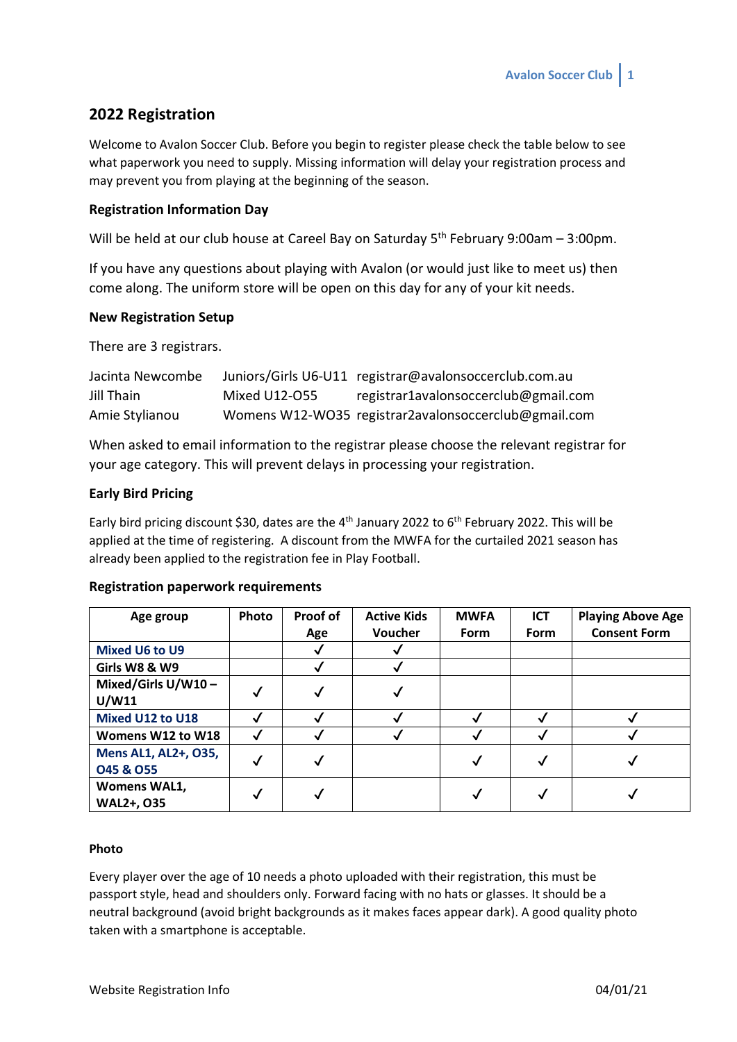# **2022 Registration**

Welcome to Avalon Soccer Club. Before you begin to register please check the table below to see what paperwork you need to supply. Missing information will delay your registration process and may prevent you from playing at the beginning of the season.

# **Registration Information Day**

Will be held at our club house at Careel Bay on Saturday 5<sup>th</sup> February 9:00am - 3:00pm.

If you have any questions about playing with Avalon (or would just like to meet us) then come along. The uniform store will be open on this day for any of your kit needs.

# **New Registration Setup**

There are 3 registrars.

| Jacinta Newcombe |               | Juniors/Girls U6-U11 registrar@avalonsoccerclub.com.au |
|------------------|---------------|--------------------------------------------------------|
| Jill Thain       | Mixed U12-O55 | registrar1avalonsoccerclub@gmail.com                   |
| Amie Stylianou   |               | Womens W12-WO35 registrar2avalonsoccerclub@gmail.com   |

When asked to email information to the registrar please choose the relevant registrar for your age category. This will prevent delays in processing your registration.

# **Early Bird Pricing**

Early bird pricing discount \$30, dates are the 4<sup>th</sup> January 2022 to 6<sup>th</sup> February 2022. This will be applied at the time of registering. A discount from the MWFA for the curtailed 2021 season has already been applied to the registration fee in Play Football.

| Age group             | Photo | Proof of     | <b>Active Kids</b> | <b>MWFA</b> | <b>ICT</b>  | <b>Playing Above Age</b> |
|-----------------------|-------|--------------|--------------------|-------------|-------------|--------------------------|
|                       |       | Age          | Voucher            | <b>Form</b> | <b>Form</b> | <b>Consent Form</b>      |
| <b>Mixed U6 to U9</b> |       |              |                    |             |             |                          |
| Girls W8 & W9         |       |              |                    |             |             |                          |
| Mixed/Girls U/W10-    |       | $\checkmark$ |                    |             |             |                          |
| U/W11                 | √     |              |                    |             |             |                          |
| Mixed U12 to U18      |       |              |                    |             |             |                          |
| Womens W12 to W18     |       |              |                    |             |             |                          |
| Mens AL1, AL2+, O35,  |       |              |                    |             |             |                          |
| <b>045 &amp; 055</b>  | √     |              |                    |             |             |                          |
| <b>Womens WAL1,</b>   |       |              |                    |             |             |                          |
| <b>WAL2+, 035</b>     |       |              |                    |             |             |                          |

### **Registration paperwork requirements**

#### **Photo**

Every player over the age of 10 needs a photo uploaded with their registration, this must be passport style, head and shoulders only. Forward facing with no hats or glasses. It should be a neutral background (avoid bright backgrounds as it makes faces appear dark). A good quality photo taken with a smartphone is acceptable.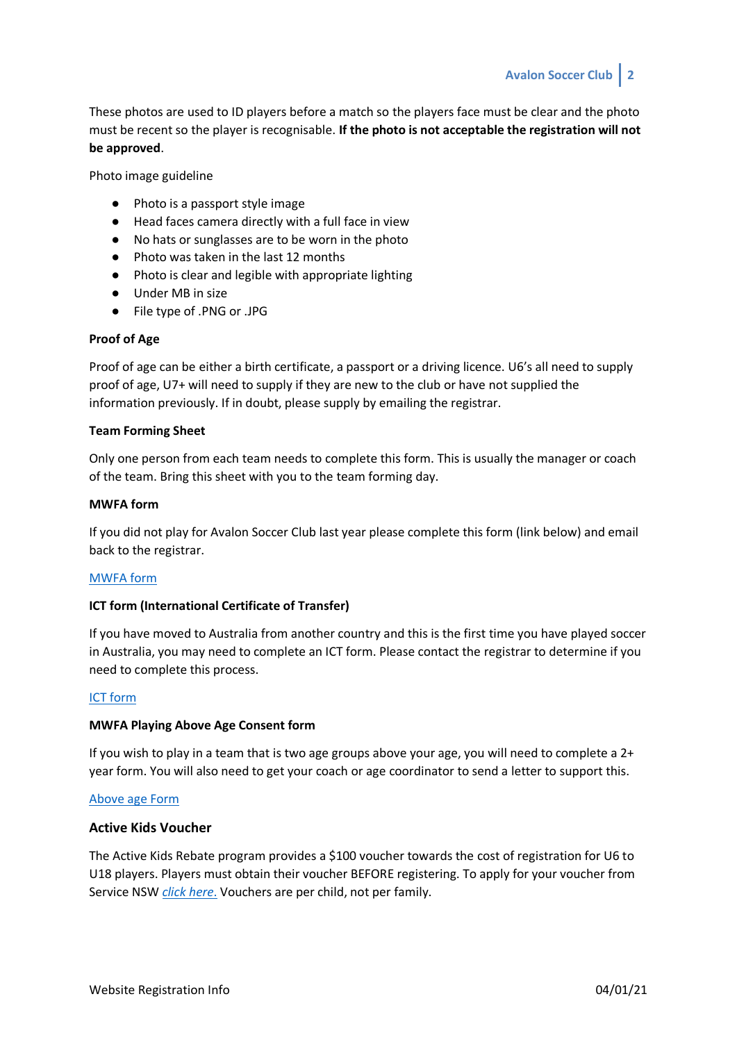These photos are used to ID players before a match so the players face must be clear and the photo must be recent so the player is recognisable. **If the photo is not acceptable the registration will not be approved**.

Photo image guideline

- Photo is a passport style image
- Head faces camera directly with a full face in view
- No hats or sunglasses are to be worn in the photo
- Photo was taken in the last 12 months
- Photo is clear and legible with appropriate lighting
- Under MB in size
- File type of .PNG or .JPG

### **Proof of Age**

Proof of age can be either a birth certificate, a passport or a driving licence. U6's all need to supply proof of age, U7+ will need to supply if they are new to the club or have not supplied the information previously. If in doubt, please supply by emailing the registrar.

#### **Team Forming Sheet**

Only one person from each team needs to complete this form. This is usually the manager or coach of the team. Bring this sheet with you to the team forming day.

#### **MWFA form**

If you did not play for Avalon Soccer Club last year please complete this form (link below) and email back to the registrar.

### [MWFA form](https://avalonsoccerclub.com.au/wp-content/uploads/2022/01/01-2022-MWFA-APPLICATION-TO-REGISTER-v1.pdf)

### **ICT form (International Certificate of Transfer)**

If you have moved to Australia from another country and this is the first time you have played soccer in Australia, you may need to complete an ICT form. Please contact the registrar to determine if you need to complete this process.

# [ICT form](https://avalonsoccerclub.com.au/wp-content/uploads/2020/01/Guide-to-ITCs-and-Minor-Applications-ITCs-2020-Final-1.pdf)

### **MWFA Playing Above Age Consent form**

If you wish to play in a team that is two age groups above your age, you will need to complete a  $2+$ year form. You will also need to get your coach or age coordinator to send a letter to support this.

#### [Above age Form](https://avalonsoccerclub.com.au/wp-content/uploads/2022/01/09-2022-MWFA-Playing-Above-Age-Consent-Form.pdf)

### **Active Kids Voucher**

The Active Kids Rebate program provides a \$100 voucher towards the cost of registration for U6 to U18 players. Players must obtain their voucher BEFORE registering. To apply for your voucher from Service NSW *[click here](https://www.service.nsw.gov.au/transaction/apply-active-kids-voucher)*. Vouchers are per child, not per family.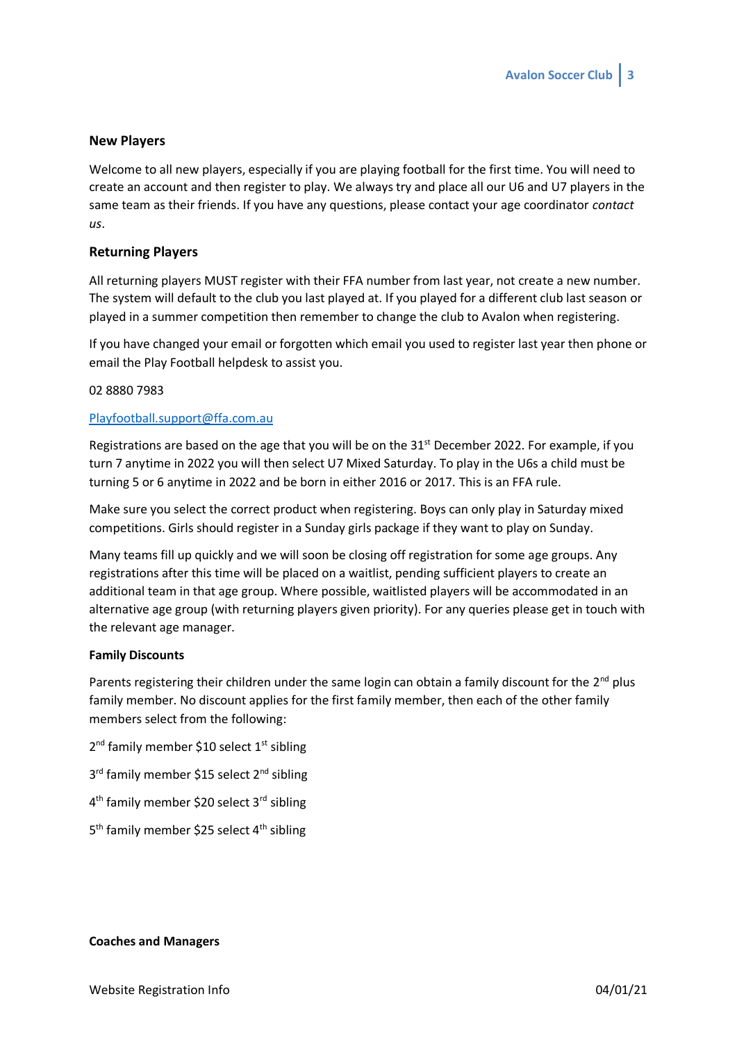# **New Players**

Welcome to all new players, especially if you are playing football for the first time. You will need to create an account and then register to play. We always try and place all our U6 and U7 players in the same team as their friends. If you have any questions, please contact your age coordinator *contact us*.

### **Returning Players**

All returning players MUST register with their FFA number from last year, not create a new number. The system will default to the club you last played at. If you played for a different club last season or played in a summer competition then remember to change the club to Avalon when registering.

If you have changed your email or forgotten which email you used to register last year then phone or email the Play Football helpdesk to assist you.

#### 02 8880 7983

#### [Playfootball.support@ffa.com.au](mailto:Playfootball.support@ffa.com.au)

Registrations are based on the age that you will be on the  $31<sup>st</sup>$  December 2022. For example, if you turn 7 anytime in 2022 you will then select U7 Mixed Saturday. To play in the U6s a child must be turning 5 or 6 anytime in 2022 and be born in either 2016 or 2017. This is an FFA rule.

Make sure you select the correct product when registering. Boys can only play in Saturday mixed competitions. Girls should register in a Sunday girls package if they want to play on Sunday.

Many teams fill up quickly and we will soon be closing off registration for some age groups. Any registrations after this time will be placed on a waitlist, pending sufficient players to create an additional team in that age group. Where possible, waitlisted players will be accommodated in an alternative age group (with returning players given priority). For any queries please get in touch with the relevant age manager.

#### **Family Discounts**

Parents registering their children under the same login can obtain a family discount for the 2<sup>nd</sup> plus family member. No discount applies for the first family member, then each of the other family members select from the following:

2<sup>nd</sup> family member \$10 select 1<sup>st</sup> sibling

3<sup>rd</sup> family member \$15 select 2<sup>nd</sup> sibling

- 4<sup>th</sup> family member \$20 select 3<sup>rd</sup> sibling
- 5<sup>th</sup> family member \$25 select 4<sup>th</sup> sibling

### **Coaches and Managers**